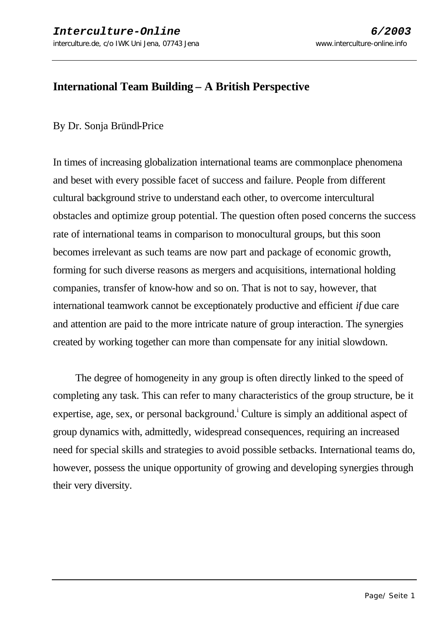# **International Team Building – A British Perspective**

### By Dr. Sonja Bründl-Price

In times of increasing globalization international teams are commonplace phenomena and beset with every possible facet of success and failure. People from different cultural background strive to understand each other, to overcome intercultural obstacles and optimize group potential. The question often posed concerns the success rate of international teams in comparison to monocultural groups, but this soon becomes irrelevant as such teams are now part and package of economic growth, forming for such diverse reasons as mergers and acquisitions, international holding companies, transfer of know-how and so on. That is not to say, however, that international teamwork cannot be exceptionately productive and efficient *if* due care and attention are paid to the more intricate nature of group interaction. The synergies created by working together can more than compensate for any initial slowdown.

 The degree of homogeneity in any group is often directly linked to the speed of completing any task. This can refer to many characteristics of the group structure, be it expertise, age, sex, or personal background.<sup>i</sup> Culture is simply an additional aspect of group dynamics with, admittedly, widespread consequences, requiring an increased need for special skills and strategies to avoid possible setbacks. International teams do, however, possess the unique opportunity of growing and developing synergies through their very diversity.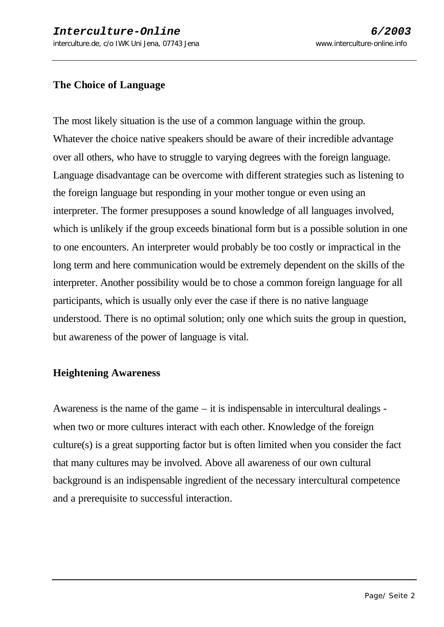## **The Choice of Language**

The most likely situation is the use of a common language within the group. Whatever the choice native speakers should be aware of their incredible advantage over all others, who have to struggle to varying degrees with the foreign language. Language disadvantage can be overcome with different strategies such as listening to the foreign language but responding in your mother tongue or even using an interpreter. The former presupposes a sound knowledge of all languages involved, which is unlikely if the group exceeds binational form but is a possible solution in one to one encounters. An interpreter would probably be too costly or impractical in the long term and here communication would be extremely dependent on the skills of the interpreter. Another possibility would be to chose a common foreign language for all participants, which is usually only ever the case if there is no native language understood. There is no optimal solution; only one which suits the group in question, but awareness of the power of language is vital.

#### **Heightening Awareness**

Awareness is the name of the game – it is indispensable in intercultural dealings when two or more cultures interact with each other. Knowledge of the foreign culture(s) is a great supporting factor but is often limited when you consider the fact that many cultures may be involved. Above all awareness of our own cultural background is an indispensable ingredient of the necessary intercultural competence and a prerequisite to successful interaction.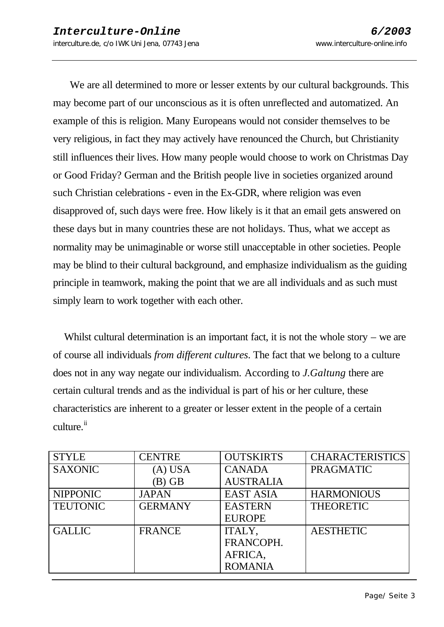We are all determined to more or lesser extents by our cultural backgrounds. This may become part of our unconscious as it is often unreflected and automatized. An example of this is religion. Many Europeans would not consider themselves to be very religious, in fact they may actively have renounced the Church, but Christianity still influences their lives. How many people would choose to work on Christmas Day or Good Friday? German and the British people live in societies organized around such Christian celebrations - even in the Ex-GDR, where religion was even disapproved of, such days were free. How likely is it that an email gets answered on these days but in many countries these are not holidays. Thus, what we accept as normality may be unimaginable or worse still unacceptable in other societies. People may be blind to their cultural background, and emphasize individualism as the guiding principle in teamwork, making the point that we are all individuals and as such must simply learn to work together with each other.

Whilst cultural determination is an important fact, it is not the whole story – we are of course all individuals *from different cultures*. The fact that we belong to a culture does not in any way negate our individualism. According to *J*.*Galtung* there are certain cultural trends and as the individual is part of his or her culture, these characteristics are inherent to a greater or lesser extent in the people of a certain culture.<sup>ii</sup>

| <b>STYLE</b>    | <b>CENTRE</b>  | <b>OUTSKIRTS</b> | <b>CHARACTERISTICS</b> |
|-----------------|----------------|------------------|------------------------|
| <b>SAXONIC</b>  | (A) USA        | <b>CANADA</b>    | <b>PRAGMATIC</b>       |
|                 | $(B)$ GB       | <b>AUSTRALIA</b> |                        |
| <b>NIPPONIC</b> | <b>JAPAN</b>   | <b>EAST ASIA</b> | <b>HARMONIOUS</b>      |
| <b>TEUTONIC</b> | <b>GERMANY</b> | <b>EASTERN</b>   | <b>THEORETIC</b>       |
|                 |                | <b>EUROPE</b>    |                        |
| <b>GALLIC</b>   | <b>FRANCE</b>  | ITALY,           | <b>AESTHETIC</b>       |
|                 |                | FRANCOPH.        |                        |
|                 |                | AFRICA.          |                        |
|                 |                | <b>ROMANIA</b>   |                        |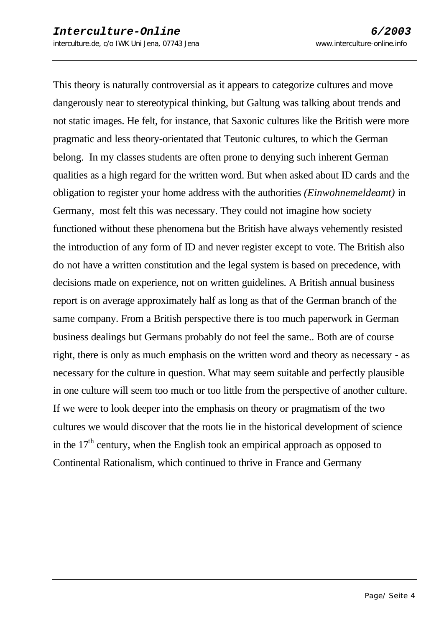This theory is naturally controversial as it appears to categorize cultures and move dangerously near to stereotypical thinking, but Galtung was talking about trends and not static images. He felt, for instance, that Saxonic cultures like the British were more pragmatic and less theory-orientated that Teutonic cultures, to which the German belong. In my classes students are often prone to denying such inherent German qualities as a high regard for the written word. But when asked about ID cards and the obligation to register your home address with the authorities *(Einwohnemeldeamt)* in Germany, most felt this was necessary. They could not imagine how society functioned without these phenomena but the British have always vehemently resisted the introduction of any form of ID and never register except to vote. The British also do not have a written constitution and the legal system is based on precedence, with decisions made on experience, not on written guidelines. A British annual business report is on average approximately half as long as that of the German branch of the same company. From a British perspective there is too much paperwork in German business dealings but Germans probably do not feel the same.. Both are of course right, there is only as much emphasis on the written word and theory as necessary - as necessary for the culture in question. What may seem suitable and perfectly plausible in one culture will seem too much or too little from the perspective of another culture. If we were to look deeper into the emphasis on theory or pragmatism of the two cultures we would discover that the roots lie in the historical development of science in the  $17<sup>th</sup>$  century, when the English took an empirical approach as opposed to Continental Rationalism, which continued to thrive in France and Germany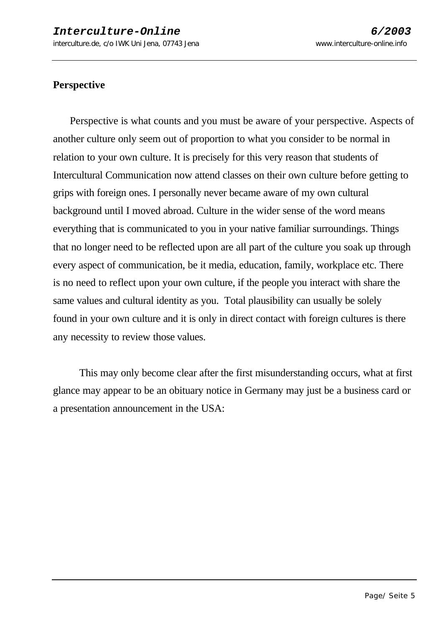### **Perspective**

 Perspective is what counts and you must be aware of your perspective. Aspects of another culture only seem out of proportion to what you consider to be normal in relation to your own culture. It is precisely for this very reason that students of Intercultural Communication now attend classes on their own culture before getting to grips with foreign ones. I personally never became aware of my own cultural background until I moved abroad. Culture in the wider sense of the word means everything that is communicated to you in your native familiar surroundings. Things that no longer need to be reflected upon are all part of the culture you soak up through every aspect of communication, be it media, education, family, workplace etc. There is no need to reflect upon your own culture, if the people you interact with share the same values and cultural identity as you. Total plausibility can usually be solely found in your own culture and it is only in direct contact with foreign cultures is there any necessity to review those values.

This may only become clear after the first misunderstanding occurs, what at first glance may appear to be an obituary notice in Germany may just be a business card or a presentation announcement in the USA: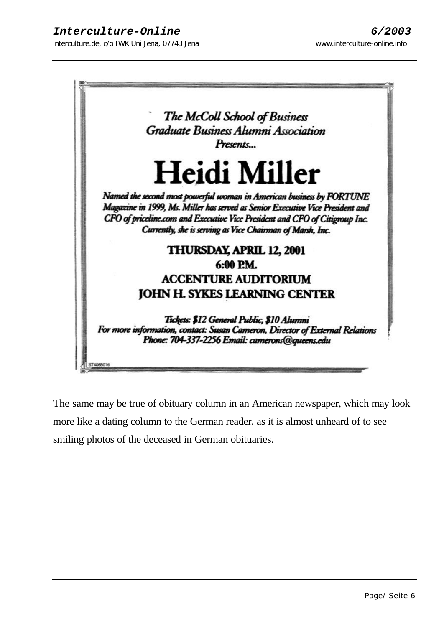

The same may be true of obituary column in an American newspaper, which may look more like a dating column to the German reader, as it is almost unheard of to see smiling photos of the deceased in German obituaries.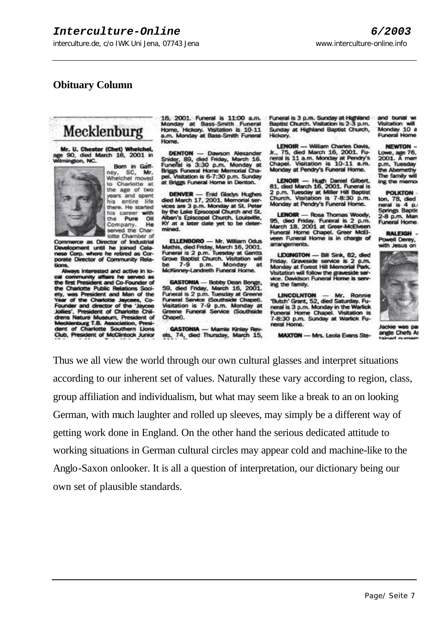### **Obituary Column**

# Mecklenburg

Mr. U. Chester (Chet) Whelchel,<br>age 90, died March 16, 2001 in<br>Mimington, NC.



Bom in Gaffney, SC, Mr.<br>Whelchel moved to Charlotte at the age of two years and spent<br>his entire life there. He started his career with the Pure Oil He Company. served the Charlotte Chamber of

Commerce as Director of Industrial Development until he joined Cela-<br>nese Corp. where he retired as Corporate Director of Community Rela-

Always interested and active in lo-All community affairs he served as<br>the first President and Co-Founder of<br>the first President and Co-Founder of<br>the Charlotte Public Relations Society, was President and Man of the<br>Year of the Charlotte Jaycees, Co-<br>Founder s', President of Charlotte Chil-**Grens Nature Museum, President of<br>Mecklenburg T.B. Association, President of Charlotte Southern Lions** Club, President of McClintock Junior 16 2001. Funeral is 11:00 a.m. Monday at Bass-Smith Funeral<br>Home, Hickory. Visitation is 10-11<br>a.m. Monday at Bass-Smith Funeral Home

**DENTON** - Dawson Alexander Dichiel Hotel Friday, March 16.<br>Snider, 89, died Friday, March 16.<br>Funeral is 3:30 p.m. Monday at<br>Briggs Funeral Home Memorial Cha-Driggs runeral nume memorial char-<br>pel. Visitation is 6-7:30 p.m. Sunday<br>at Briggs Funeral Home in Denton.

**DENVER** - Enid Gladys Hughes<br>died March 17, 2001. Memorial services are 3 p.m. Monday at St. Peter<br>by the Lake Episcopal Church and St. ban's Episcopal Church, Louisville, KY at a later date yet to be determined.

ELLENBORO - Mr. William Odus Mathis, died Friday, March 16, 2001. Funeral is 2 p.m. Tuesday at Gantts<br>Grove Baptist Church. Visitation will<br>be 7-9 p.m. Monday at be 7-9 p.m. Monday at<br>McKinney-Landreth Funeral Home.

**GASTONIA** - Bobby Dean Be 59, died Friday, March 16, 2001.<br>Funeral is 2 p.m. Tuesday at Greene<br>Funeral Service (Southside Chapel).<br>Visitation is 7-9 p.m. Monday at Greene Funeral Service (Southside Chapel).

GASTONIA - Mamie Kinley Revels, 74, died Thursday, March 15, Funeral is 3 n.m. Sunday at Highland Baptist Church. Visitation is 2-3 p.m. Sunday at Highland Baptist Church, Hickory.

**LENOIR** - William Charles Davis, Jr., 75, died March 16, 2001. Fu-<br>neral is 11 a.m. Monday at Pendry's<br>Chapel. Visitation is 10-11 a.m. Monday at Pendry's Funeral Home.

LENOIR - Hugh Daniel Gilbert.<br>81, died March 16, 2001. Funeral is 2 p.m. Tuesday at Miller Hill Baptist<br>Church. Visitation is 7-8:30 p.m. Monday at Pendry's Funeral Home.

**LENOIR** - Rosa Thomas Woody G. died Friday. Funeral is 2 p.m.<br>March 18, 2001 at Greer-McElveen<br>Funeral Home Chapel. Greer McElveen Funeral Home is in charge of arrangements.

LEXINGTON - Bill Sink, 82, died Friday. Graveside service is 2 p.m.<br>Monday at Forest Hill Memorial Park. Visitation will follow the graveside service. Davidson Funeral Home is serving the family.

LINCOLNTON - Mr. Ronnie<br>"Butch" Grant, 52, died Saturday. Fu-<br>neral is 3 p.m. Monday in the Warlick<br>Funeral Home Chapel. Visitation is runeral Home Chapel, Visitation is<br>7-8:30 p.m. Sunday at Warlick Fu-<br>neral Home,

**MAXTON - Mrs. Leola Evans Ste-**

and burial wi **Visitation will** Monday 10 a<br>Funeral Home

**NEWTON** 

Lowe, age 76,<br>2001. A mem p.m. Tuesday the Abernethy The family will ing the memor

**POLKTON** 

ton, 78, died<br>neral is 4 p.<br>Springs Baptis<br>2-8 p.m. Man Funeral Home.

**RALEIGH** Powell Derey,<br>with Jesus on



angle Chefs A

Thus we all view the world through our own cultural glasses and interpret situations according to our inherent set of values. Naturally these vary according to region, class, group affiliation and individualism, but what may seem like a break to an on looking German, with much laughter and rolled up sleeves, may simply be a different way of getting work done in England. On the other hand the serious dedicated attitude to working situations in German cultural circles may appear cold and machine-like to the Anglo-Saxon onlooker. It is all a question of interpretation, our dictionary being our own set of plausible standards.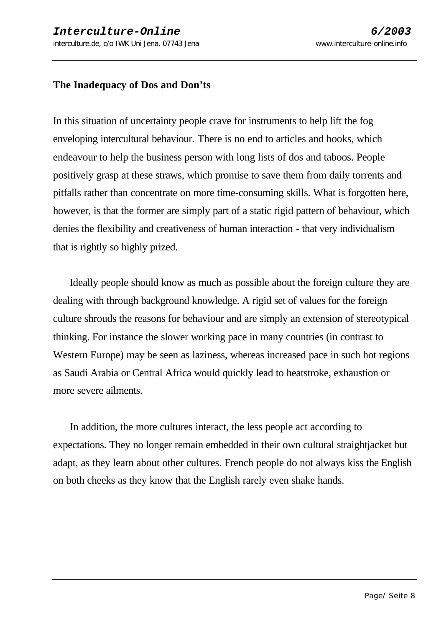### **The Inadequacy of Dos and Don'ts**

In this situation of uncertainty people crave for instruments to help lift the fog enveloping intercultural behaviour. There is no end to articles and books, which endeavour to help the business person with long lists of dos and taboos. People positively grasp at these straws, which promise to save them from daily torrents and pitfalls rather than concentrate on more time-consuming skills. What is forgotten here, however, is that the former are simply part of a static rigid pattern of behaviour, which denies the flexibility and creativeness of human interaction - that very individualism that is rightly so highly prized.

 Ideally people should know as much as possible about the foreign culture they are dealing with through background knowledge. A rigid set of values for the foreign culture shrouds the reasons for behaviour and are simply an extension of stereotypical thinking. For instance the slower working pace in many countries (in contrast to Western Europe) may be seen as laziness, whereas increased pace in such hot regions as Saudi Arabia or Central Africa would quickly lead to heatstroke, exhaustion or more severe ailments.

 In addition, the more cultures interact, the less people act according to expectations. They no longer remain embedded in their own cultural straightjacket but adapt, as they learn about other cultures. French people do not always kiss the English on both cheeks as they know that the English rarely even shake hands.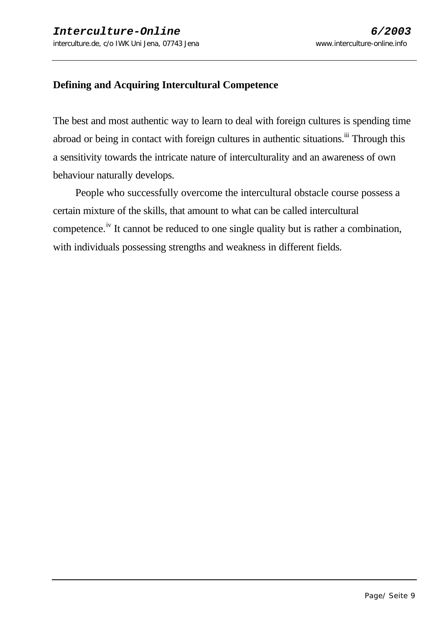### **Defining and Acquiring Intercultural Competence**

The best and most authentic way to learn to deal with foreign cultures is spending time abroad or being in contact with foreign cultures in authentic situations.<sup>iii</sup> Through this a sensitivity towards the intricate nature of interculturality and an awareness of own behaviour naturally develops.

 People who successfully overcome the intercultural obstacle course possess a certain mixture of the skills, that amount to what can be called intercultural competence.<sup>iv</sup> It cannot be reduced to one single quality but is rather a combination, with individuals possessing strengths and weakness in different fields.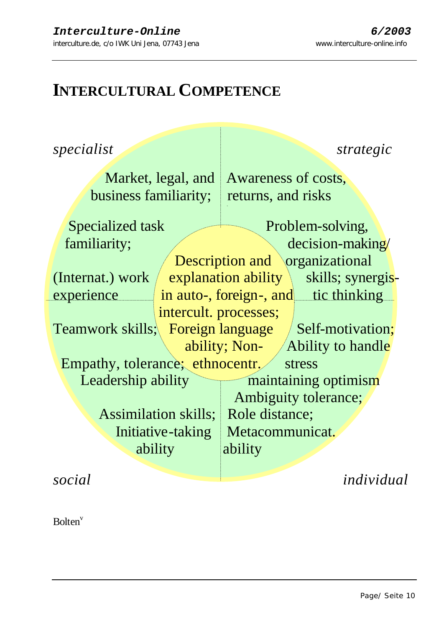# **INTERCULTURAL COMPETENCE**

*specialist specialist strategic* 

business familiarity; returns, and risks

Market, legal, and Awareness of costs,

Specialized task Problem-solving, familiarity;  $\sqrt{ }$  decision-making/ Description and \organizational (Internat.) work  $\angle$  explanation ability  $\angle$  skills; synergisexperience in auto-, foreign-, and tic thinking intercult. processes; Teamwork skills; Foreign language / Self-motivation; ability; Non-  $\angle$  Ability to handle Empathy, tolerance; ethnocentr. stress Leadership ability maintaining optimism Ambiguity tolerance; Assimilation skills; Role distance; Initiative-taking Metacommunicat. ability ability

*social individual*

Bolten<sup>v</sup>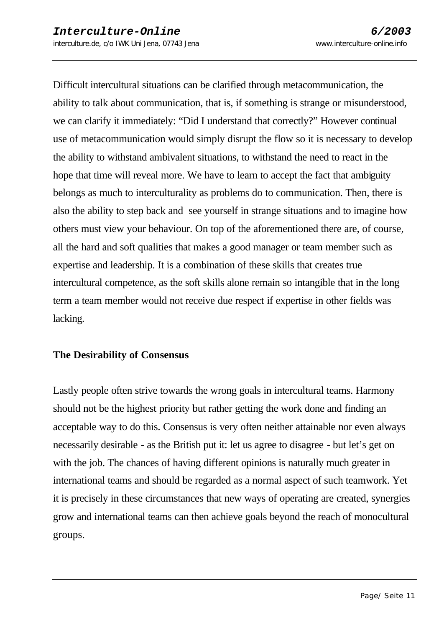Difficult intercultural situations can be clarified through metacommunication, the ability to talk about communication, that is, if something is strange or misunderstood, we can clarify it immediately: "Did I understand that correctly?" However continual use of metacommunication would simply disrupt the flow so it is necessary to develop the ability to withstand ambivalent situations, to withstand the need to react in the hope that time will reveal more. We have to learn to accept the fact that ambiguity belongs as much to interculturality as problems do to communication. Then, there is also the ability to step back and see yourself in strange situations and to imagine how others must view your behaviour. On top of the aforementioned there are, of course, all the hard and soft qualities that makes a good manager or team member such as expertise and leadership. It is a combination of these skills that creates true intercultural competence, as the soft skills alone remain so intangible that in the long term a team member would not receive due respect if expertise in other fields was lacking.

#### **The Desirability of Consensus**

Lastly people often strive towards the wrong goals in intercultural teams. Harmony should not be the highest priority but rather getting the work done and finding an acceptable way to do this. Consensus is very often neither attainable nor even always necessarily desirable - as the British put it: let us agree to disagree - but let's get on with the job. The chances of having different opinions is naturally much greater in international teams and should be regarded as a normal aspect of such teamwork. Yet it is precisely in these circumstances that new ways of operating are created, synergies grow and international teams can then achieve goals beyond the reach of monocultural groups.